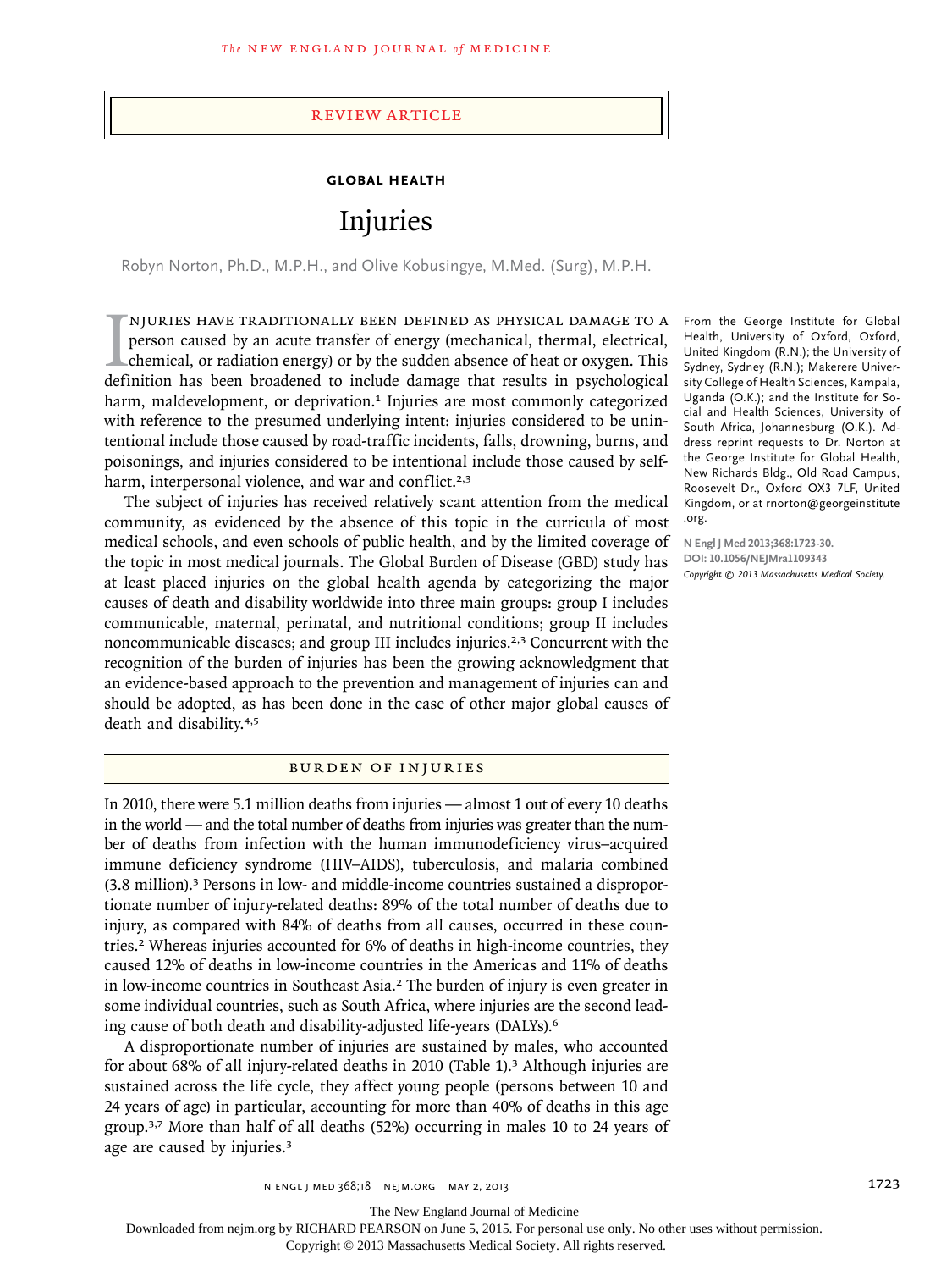#### Review article

## **global health**

# Injuries

Robyn Norton, Ph.D., M.P.H., and Olive Kobusingye, M.Med. (Surg), M.P.H.

 $\prod_{defi}$ njuries have traditionally been defined as physical damage to a person caused by an acute transfer of energy (mechanical, thermal, electrical, chemical, or radiation energy) or by the sudden absence of heat or oxygen. This definition has been broadened to include damage that results in psychological harm, maldevelopment, or deprivation.<sup>1</sup> Injuries are most commonly categorized with reference to the presumed underlying intent: injuries considered to be unintentional include those caused by road-traffic incidents, falls, drowning, burns, and poisonings, and injuries considered to be intentional include those caused by selfharm, interpersonal violence, and war and conflict.<sup>2,3</sup>

The subject of injuries has received relatively scant attention from the medical community, as evidenced by the absence of this topic in the curricula of most medical schools, and even schools of public health, and by the limited coverage of the topic in most medical journals. The Global Burden of Disease (GBD) study has at least placed injuries on the global health agenda by categorizing the major causes of death and disability worldwide into three main groups: group I includes communicable, maternal, perinatal, and nutritional conditions; group II includes noncommunicable diseases; and group III includes injuries.<sup>2,3</sup> Concurrent with the recognition of the burden of injuries has been the growing acknowledgment that an evidence-based approach to the prevention and management of injuries can and should be adopted, as has been done in the case of other major global causes of death and disability.4,5

## BURDEN OF INJURIES

In 2010, there were 5.1 million deaths from injuries — almost 1 out of every 10 deaths in the world — and the total number of deaths from injuries was greater than the number of deaths from infection with the human immunodeficiency virus–acquired immune deficiency syndrome (HIV–AIDS), tuberculosis, and malaria combined (3.8 million).3 Persons in low- and middle-income countries sustained a disproportionate number of injury-related deaths: 89% of the total number of deaths due to injury, as compared with 84% of deaths from all causes, occurred in these countries.2 Whereas injuries accounted for 6% of deaths in high-income countries, they caused 12% of deaths in low-income countries in the Americas and 11% of deaths in low-income countries in Southeast Asia.<sup>2</sup> The burden of injury is even greater in some individual countries, such as South Africa, where injuries are the second leading cause of both death and disability-adjusted life-years (DALYs).<sup>6</sup>

A disproportionate number of injuries are sustained by males, who accounted for about 68% of all injury-related deaths in 2010 (Table 1).<sup>3</sup> Although injuries are sustained across the life cycle, they affect young people (persons between 10 and 24 years of age) in particular, accounting for more than 40% of deaths in this age group.3,7 More than half of all deaths (52%) occurring in males 10 to 24 years of age are caused by injuries.<sup>3</sup>

From the George Institute for Global Health, University of Oxford, Oxford, United Kingdom (R.N.); the University of Sydney, Sydney (R.N.); Makerere University College of Health Sciences, Kampala, Uganda (O.K.); and the Institute for Social and Health Sciences, University of South Africa, Johannesburg (O.K.). Address reprint requests to Dr. Norton at the George Institute for Global Health, New Richards Bldg., Old Road Campus, Roosevelt Dr., Oxford OX3 7LF, United Kingdom, or at rnorton@georgeinstitute .org.

**N Engl J Med 2013;368:1723-30. DOI: 10.1056/NEJMra1109343** *Copyright © 2013 Massachusetts Medical Society.*

The New England Journal of Medicine

Downloaded from nejm.org by RICHARD PEARSON on June 5, 2015. For personal use only. No other uses without permission.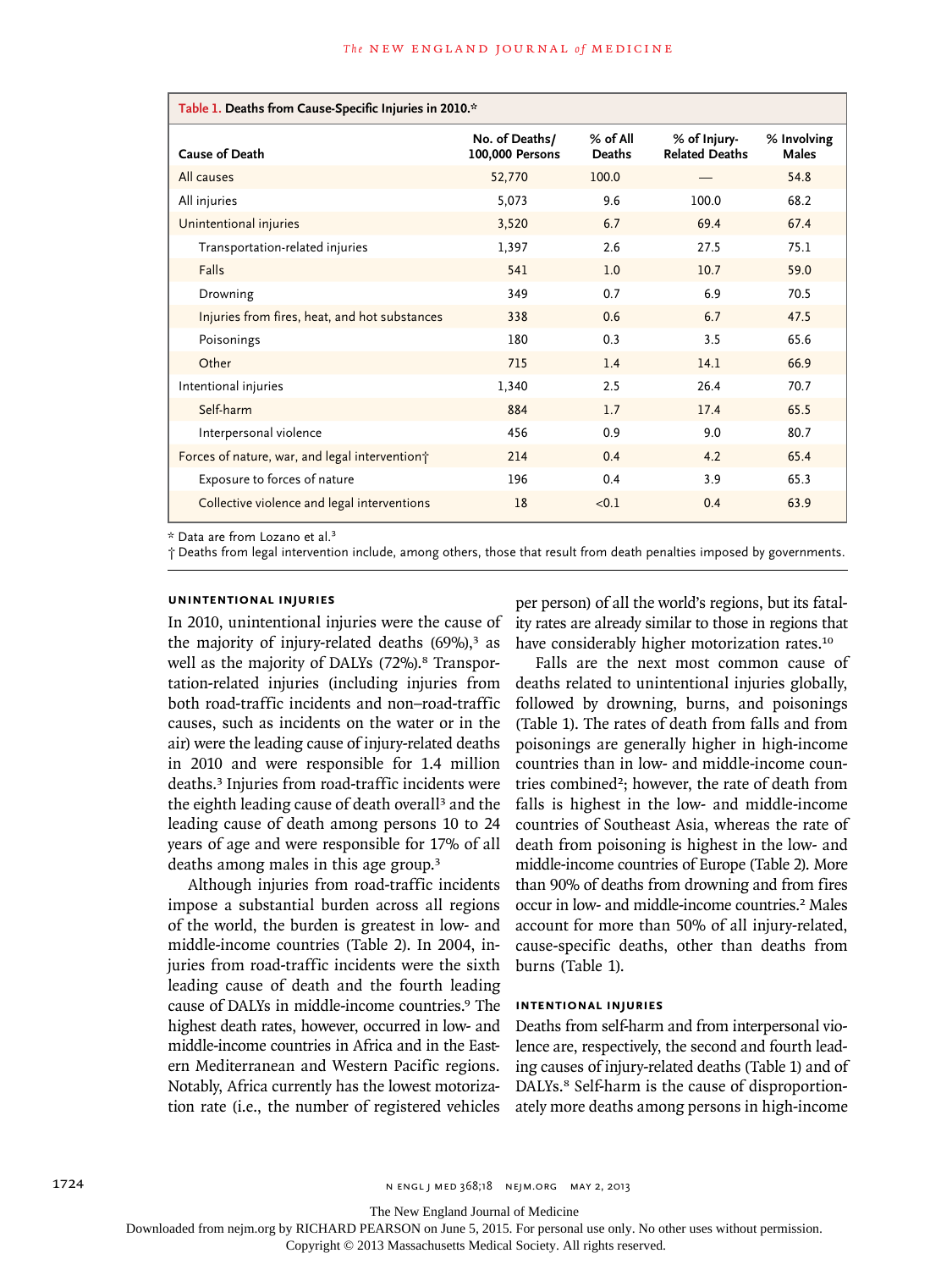| Table 1. Deaths from Cause-Specific Injuries in 2010.* |                                   |                    |                                       |                      |  |  |
|--------------------------------------------------------|-----------------------------------|--------------------|---------------------------------------|----------------------|--|--|
| Cause of Death                                         | No. of Deaths/<br>100,000 Persons | % of All<br>Deaths | % of Injury-<br><b>Related Deaths</b> | % Involving<br>Males |  |  |
| All causes                                             | 52,770                            | 100.0              |                                       | 54.8                 |  |  |
| All injuries                                           | 5,073                             | 9.6                | 100.0                                 | 68.2                 |  |  |
| Unintentional injuries                                 | 3,520                             | 6.7                | 69.4                                  | 67.4                 |  |  |
| Transportation-related injuries                        | 1,397                             | 2.6                | 27.5                                  | 75.1                 |  |  |
| Falls                                                  | 541                               | 1.0                | 10.7                                  | 59.0                 |  |  |
| Drowning                                               | 349                               | 0.7                | 6.9                                   | 70.5                 |  |  |
| Injuries from fires, heat, and hot substances          | 338                               | 0.6                | 6.7                                   | 47.5                 |  |  |
| Poisonings                                             | 180                               | 0.3                | 3.5                                   | 65.6                 |  |  |
| Other                                                  | 715                               | 1.4                | 14.1                                  | 66.9                 |  |  |
| Intentional injuries                                   | 1,340                             | 2.5                | 26.4                                  | 70.7                 |  |  |
| Self-harm                                              | 884                               | 1.7                | 17.4                                  | 65.5                 |  |  |
| Interpersonal violence                                 | 456                               | 0.9                | 9.0                                   | 80.7                 |  |  |
| Forces of nature, war, and legal intervention;         | 214                               | 0.4                | 4.2                                   | 65.4                 |  |  |
| Exposure to forces of nature                           | 196                               | 0.4                | 3.9                                   | 65.3                 |  |  |
| Collective violence and legal interventions            | 18                                | < 0.1              | 0.4                                   | 63.9                 |  |  |

\* Data are from Lozano et al.<sup>3</sup>

† Deaths from legal intervention include, among others, those that result from death penalties imposed by governments.

#### **Unintentional Injuries**

In 2010, unintentional injuries were the cause of the majority of injury-related deaths  $(69\%)$ ,<sup>3</sup> as well as the majority of DALYs (72%).<sup>8</sup> Transportation-related injuries (including injuries from both road-traffic incidents and non–road-traffic causes, such as incidents on the water or in the air) were the leading cause of injury-related deaths in 2010 and were responsible for 1.4 million deaths.3 Injuries from road-traffic incidents were the eighth leading cause of death overall<sup>3</sup> and the leading cause of death among persons 10 to 24 years of age and were responsible for 17% of all deaths among males in this age group.<sup>3</sup>

Although injuries from road-traffic incidents impose a substantial burden across all regions of the world, the burden is greatest in low- and middle-income countries (Table 2). In 2004, injuries from road-traffic incidents were the sixth leading cause of death and the fourth leading cause of DALYs in middle-income countries.<sup>9</sup> The highest death rates, however, occurred in low- and middle-income countries in Africa and in the Eastern Mediterranean and Western Pacific regions. Notably, Africa currently has the lowest motorization rate (i.e., the number of registered vehicles per person) of all the world's regions, but its fatality rates are already similar to those in regions that have considerably higher motorization rates.<sup>10</sup>

Falls are the next most common cause of deaths related to unintentional injuries globally, followed by drowning, burns, and poisonings (Table 1). The rates of death from falls and from poisonings are generally higher in high-income countries than in low- and middle-income countries combined<sup>2</sup>; however, the rate of death from falls is highest in the low- and middle-income countries of Southeast Asia, whereas the rate of death from poisoning is highest in the low- and middle-income countries of Europe (Table 2). More than 90% of deaths from drowning and from fires occur in low- and middle-income countries.2 Males account for more than 50% of all injury-related, cause-specific deaths, other than deaths from burns (Table 1).

## **Intentional Injuries**

Deaths from self-harm and from interpersonal violence are, respectively, the second and fourth leading causes of injury-related deaths (Table 1) and of DALYs.<sup>8</sup> Self-harm is the cause of disproportionately more deaths among persons in high-income

1724 **n engl j med 368;18 new order may 2, 2013** 

The New England Journal of Medicine

Downloaded from nejm.org by RICHARD PEARSON on June 5, 2015. For personal use only. No other uses without permission.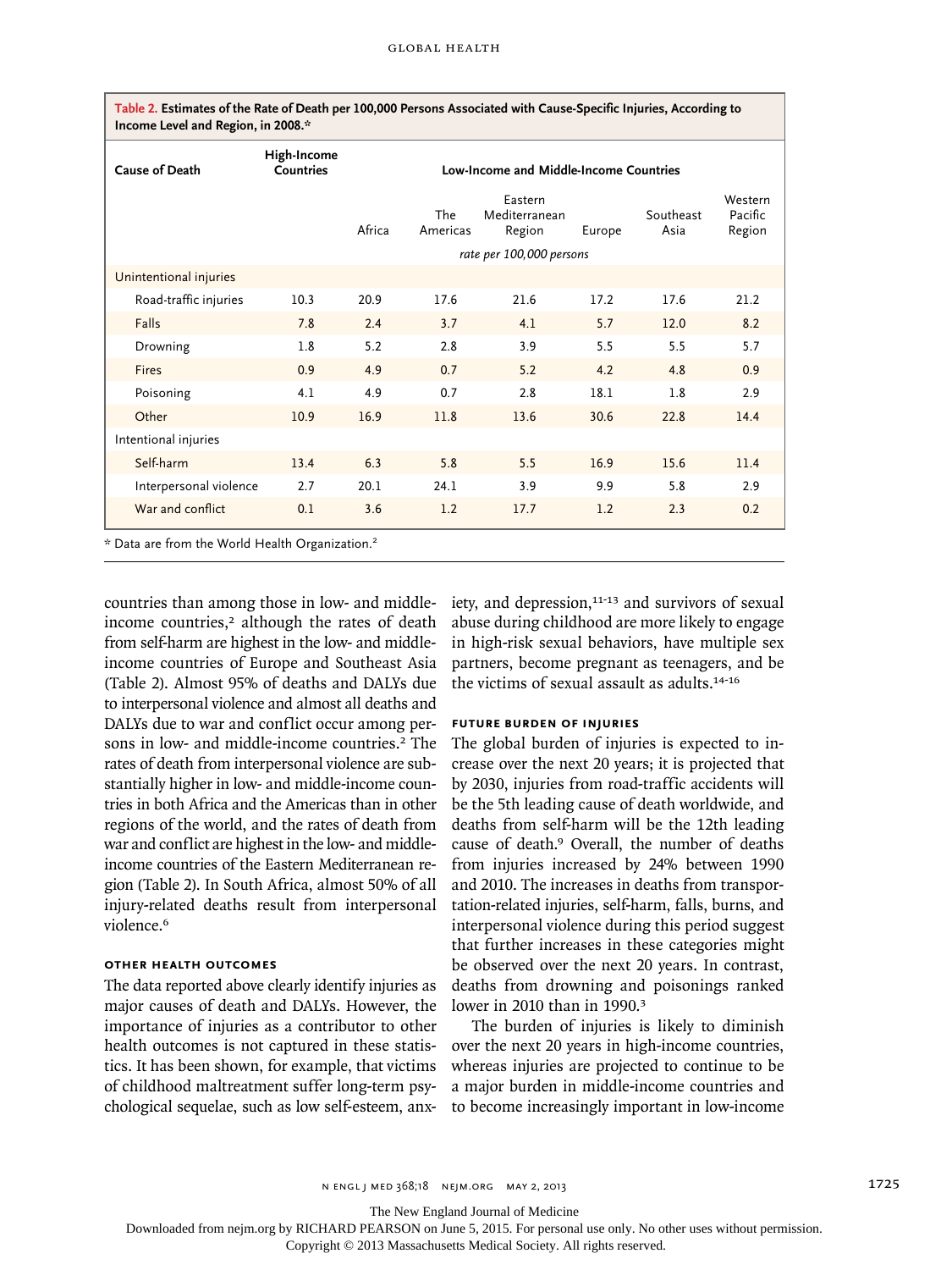**Table 2. Estimates of the Rate of Death per 100,000 Persons Associated with Cause-Specific Injuries, According to Income Level and Region, in 2008.\***

| <b>Cause of Death</b>  | High-Income<br><b>Countries</b> | Low-Income and Middle-Income Countries |                 |                                                                |        |                   |                              |
|------------------------|---------------------------------|----------------------------------------|-----------------|----------------------------------------------------------------|--------|-------------------|------------------------------|
|                        |                                 | Africa                                 | The<br>Americas | Eastern<br>Mediterranean<br>Region<br>rate per 100,000 persons | Europe | Southeast<br>Asia | Western<br>Pacific<br>Region |
| Unintentional injuries |                                 |                                        |                 |                                                                |        |                   |                              |
| Road-traffic injuries  | 10.3                            | 20.9                                   | 17.6            | 21.6                                                           | 17.2   | 17.6              | 21.2                         |
| <b>Falls</b>           | 7.8                             | 2.4                                    | 3.7             | 4.1                                                            | 5.7    | 12.0              | 8.2                          |
| Drowning               | 1.8                             | 5.2                                    | 2.8             | 3.9                                                            | 5.5    | 5.5               | 5.7                          |
| <b>Fires</b>           | 0.9                             | 4.9                                    | 0.7             | 5.2                                                            | 4.2    | 4.8               | 0.9                          |
| Poisoning              | 4.1                             | 4.9                                    | 0.7             | 2.8                                                            | 18.1   | 1.8               | 2.9                          |
| Other                  | 10.9                            | 16.9                                   | 11.8            | 13.6                                                           | 30.6   | 22.8              | 14.4                         |
| Intentional injuries   |                                 |                                        |                 |                                                                |        |                   |                              |
| Self-harm              | 13.4                            | 6.3                                    | 5.8             | 5.5                                                            | 16.9   | 15.6              | 11.4                         |
| Interpersonal violence | 2.7                             | 20.1                                   | 24.1            | 3.9                                                            | 9.9    | 5.8               | 2.9                          |
| War and conflict       | 0.1                             | 3.6                                    | 1.2             | 17.7                                                           | 1.2    | 2.3               | 0.2                          |

\* Data are from the World Health Organization.<sup>2</sup>

countries than among those in low- and middleincome countries,<sup>2</sup> although the rates of death from self-harm are highest in the low- and middleincome countries of Europe and Southeast Asia (Table 2). Almost 95% of deaths and DALYs due to interpersonal violence and almost all deaths and DALYs due to war and conflict occur among persons in low- and middle-income countries.<sup>2</sup> The rates of death from interpersonal violence are substantially higher in low- and middle-income countries in both Africa and the Americas than in other regions of the world, and the rates of death from war and conflict are highest in the low- and middleincome countries of the Eastern Mediterranean region (Table 2). In South Africa, almost 50% of all injury-related deaths result from interpersonal violence.<sup>6</sup>

### **Other Health Outcomes**

The data reported above clearly identify injuries as major causes of death and DALYs. However, the importance of injuries as a contributor to other health outcomes is not captured in these statistics. It has been shown, for example, that victims of childhood maltreatment suffer long-term psychological sequelae, such as low self-esteem, anxiety, and depression, $11-13$  and survivors of sexual abuse during childhood are more likely to engage in high-risk sexual behaviors, have multiple sex partners, become pregnant as teenagers, and be the victims of sexual assault as adults.14-16

#### **Future Burden of Injuries**

The global burden of injuries is expected to increase over the next 20 years; it is projected that by 2030, injuries from road-traffic accidents will be the 5th leading cause of death worldwide, and deaths from self-harm will be the 12th leading cause of death.9 Overall, the number of deaths from injuries increased by 24% between 1990 and 2010. The increases in deaths from transportation-related injuries, self-harm, falls, burns, and interpersonal violence during this period suggest that further increases in these categories might be observed over the next 20 years. In contrast, deaths from drowning and poisonings ranked lower in 2010 than in 1990.<sup>3</sup>

The burden of injuries is likely to diminish over the next 20 years in high-income countries, whereas injuries are projected to continue to be a major burden in middle-income countries and to become increasingly important in low-income

n engl j med 368;18 nejm.org may 2, 2013 1725

The New England Journal of Medicine

Downloaded from nejm.org by RICHARD PEARSON on June 5, 2015. For personal use only. No other uses without permission.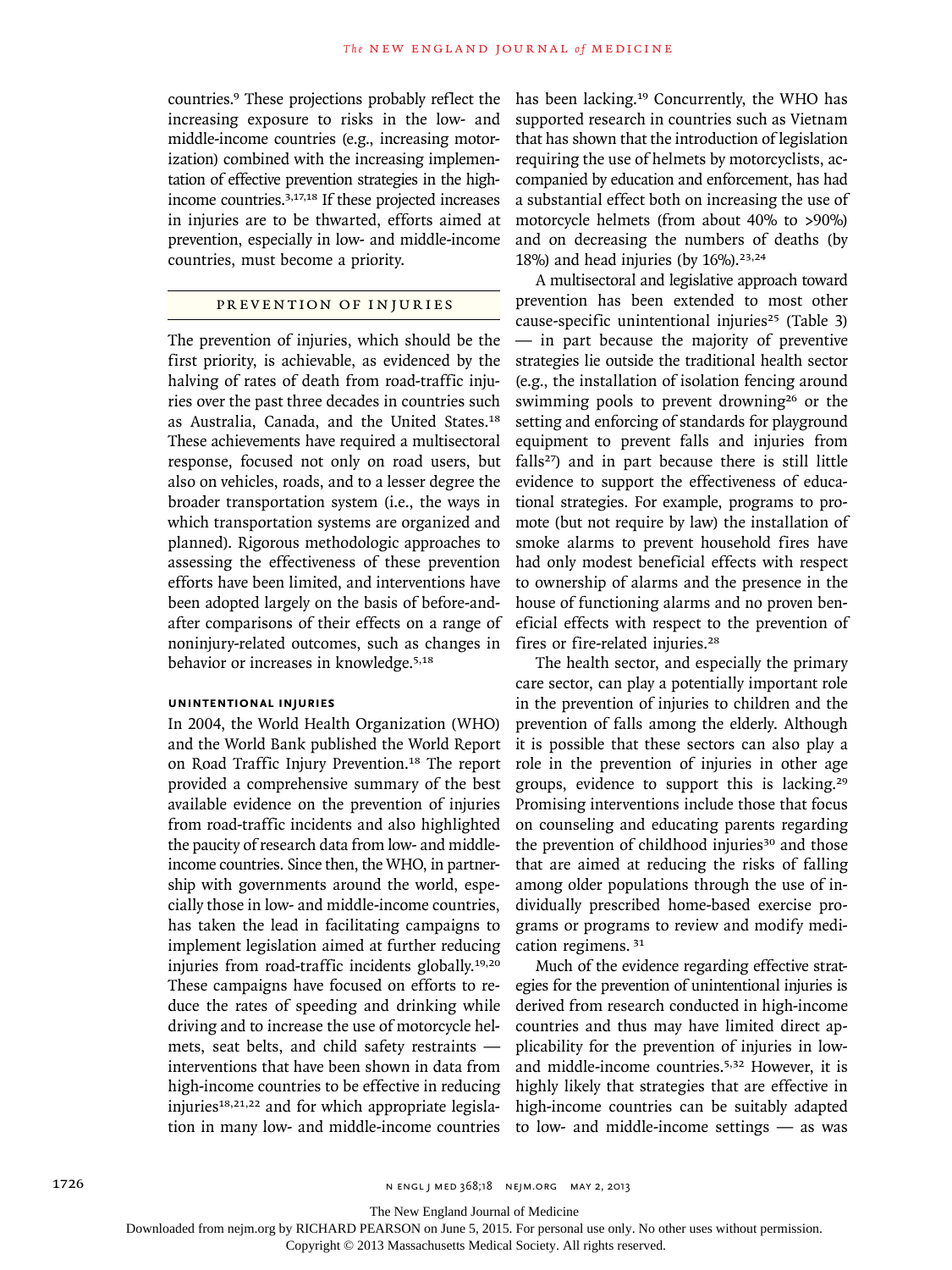countries.9 These projections probably reflect the increasing exposure to risks in the low- and middle-income countries (e.g., increasing motorization) combined with the increasing implementation of effective prevention strategies in the highincome countries.3,17,18 If these projected increases in injuries are to be thwarted, efforts aimed at prevention, especially in low- and middle-income countries, must become a priority.

## PREVENTION OF INJURIES

The prevention of injuries, which should be the first priority, is achievable, as evidenced by the halving of rates of death from road-traffic injuries over the past three decades in countries such as Australia, Canada, and the United States.<sup>18</sup> These achievements have required a multisectoral response, focused not only on road users, but also on vehicles, roads, and to a lesser degree the broader transportation system (i.e., the ways in which transportation systems are organized and planned). Rigorous methodologic approaches to assessing the effectiveness of these prevention efforts have been limited, and interventions have been adopted largely on the basis of before-andafter comparisons of their effects on a range of noninjury-related outcomes, such as changes in behavior or increases in knowledge.5,18

#### **Unintentional Injuries**

In 2004, the World Health Organization (WHO) and the World Bank published the World Report on Road Traffic Injury Prevention.18 The report provided a comprehensive summary of the best available evidence on the prevention of injuries from road-traffic incidents and also highlighted the paucity of research data from low- and middleincome countries. Since then, the WHO, in partnership with governments around the world, especially those in low- and middle-income countries, has taken the lead in facilitating campaigns to implement legislation aimed at further reducing injuries from road-traffic incidents globally.19,20 These campaigns have focused on efforts to reduce the rates of speeding and drinking while driving and to increase the use of motorcycle helmets, seat belts, and child safety restraints interventions that have been shown in data from high-income countries to be effective in reducing  $injuries<sup>18,21,22</sup>$  and for which appropriate legislation in many low- and middle-income countries

has been lacking.<sup>19</sup> Concurrently, the WHO has supported research in countries such as Vietnam that has shown that the introduction of legislation requiring the use of helmets by motorcyclists, accompanied by education and enforcement, has had a substantial effect both on increasing the use of motorcycle helmets (from about 40% to >90%) and on decreasing the numbers of deaths (by 18%) and head injuries (by  $16\%$ ).<sup>23,24</sup>

A multisectoral and legislative approach toward prevention has been extended to most other cause-specific unintentional injuries<sup>25</sup> (Table 3) — in part because the majority of preventive strategies lie outside the traditional health sector (e.g., the installation of isolation fencing around swimming pools to prevent drowning<sup>26</sup> or the setting and enforcing of standards for playground equipment to prevent falls and injuries from falls $27$ ) and in part because there is still little evidence to support the effectiveness of educational strategies. For example, programs to promote (but not require by law) the installation of smoke alarms to prevent household fires have had only modest beneficial effects with respect to ownership of alarms and the presence in the house of functioning alarms and no proven beneficial effects with respect to the prevention of fires or fire-related injuries.<sup>28</sup>

The health sector, and especially the primary care sector, can play a potentially important role in the prevention of injuries to children and the prevention of falls among the elderly. Although it is possible that these sectors can also play a role in the prevention of injuries in other age groups, evidence to support this is lacking.<sup>29</sup> Promising interventions include those that focus on counseling and educating parents regarding the prevention of childhood injuries<sup>30</sup> and those that are aimed at reducing the risks of falling among older populations through the use of individually prescribed home-based exercise programs or programs to review and modify medication regimens.<sup>31</sup>

Much of the evidence regarding effective strategies for the prevention of unintentional injuries is derived from research conducted in high-income countries and thus may have limited direct applicability for the prevention of injuries in lowand middle-income countries.5,32 However, it is highly likely that strategies that are effective in high-income countries can be suitably adapted to low- and middle-income settings — as was

The New England Journal of Medicine

Downloaded from nejm.org by RICHARD PEARSON on June 5, 2015. For personal use only. No other uses without permission.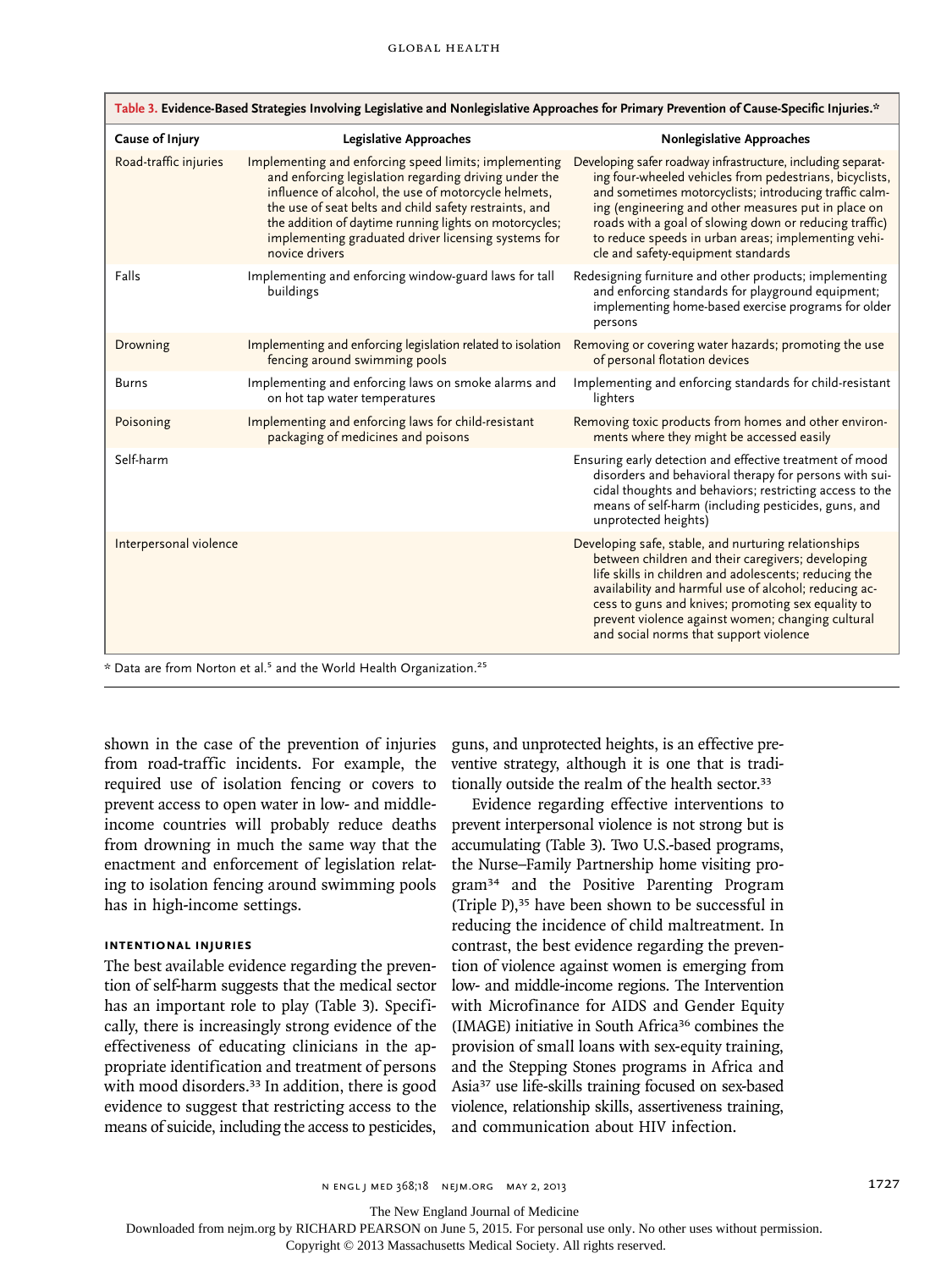| Table 3. Evidence-Based Strategies Involving Legislative and Nonlegislative Approaches for Primary Prevention of Cause-Specific Injuries.* |                                                                                                                                                                                                                                                                                                                                                                     |                                                                                                                                                                                                                                                                                                                                                                                                |  |  |  |
|--------------------------------------------------------------------------------------------------------------------------------------------|---------------------------------------------------------------------------------------------------------------------------------------------------------------------------------------------------------------------------------------------------------------------------------------------------------------------------------------------------------------------|------------------------------------------------------------------------------------------------------------------------------------------------------------------------------------------------------------------------------------------------------------------------------------------------------------------------------------------------------------------------------------------------|--|--|--|
| Cause of Injury                                                                                                                            | Legislative Approaches                                                                                                                                                                                                                                                                                                                                              | <b>Nonlegislative Approaches</b>                                                                                                                                                                                                                                                                                                                                                               |  |  |  |
| Road-traffic injuries                                                                                                                      | Implementing and enforcing speed limits; implementing<br>and enforcing legislation regarding driving under the<br>influence of alcohol, the use of motorcycle helmets,<br>the use of seat belts and child safety restraints, and<br>the addition of daytime running lights on motorcycles;<br>implementing graduated driver licensing systems for<br>novice drivers | Developing safer roadway infrastructure, including separat-<br>ing four-wheeled vehicles from pedestrians, bicyclists,<br>and sometimes motorcyclists; introducing traffic calm-<br>ing (engineering and other measures put in place on<br>roads with a goal of slowing down or reducing traffic)<br>to reduce speeds in urban areas; implementing vehi-<br>cle and safety-equipment standards |  |  |  |
| Falls                                                                                                                                      | Implementing and enforcing window-guard laws for tall<br>buildings                                                                                                                                                                                                                                                                                                  | Redesigning furniture and other products; implementing<br>and enforcing standards for playground equipment;<br>implementing home-based exercise programs for older<br>persons                                                                                                                                                                                                                  |  |  |  |
| Drowning                                                                                                                                   | Implementing and enforcing legislation related to isolation<br>fencing around swimming pools                                                                                                                                                                                                                                                                        | Removing or covering water hazards; promoting the use<br>of personal flotation devices                                                                                                                                                                                                                                                                                                         |  |  |  |
| <b>Burns</b>                                                                                                                               | Implementing and enforcing laws on smoke alarms and<br>on hot tap water temperatures                                                                                                                                                                                                                                                                                | Implementing and enforcing standards for child-resistant<br>lighters                                                                                                                                                                                                                                                                                                                           |  |  |  |
| Poisoning                                                                                                                                  | Implementing and enforcing laws for child-resistant<br>packaging of medicines and poisons                                                                                                                                                                                                                                                                           | Removing toxic products from homes and other environ-<br>ments where they might be accessed easily                                                                                                                                                                                                                                                                                             |  |  |  |
| Self-harm                                                                                                                                  |                                                                                                                                                                                                                                                                                                                                                                     | Ensuring early detection and effective treatment of mood<br>disorders and behavioral therapy for persons with sui-<br>cidal thoughts and behaviors; restricting access to the<br>means of self-harm (including pesticides, guns, and<br>unprotected heights)                                                                                                                                   |  |  |  |
| Interpersonal violence                                                                                                                     |                                                                                                                                                                                                                                                                                                                                                                     | Developing safe, stable, and nurturing relationships<br>between children and their caregivers; developing<br>life skills in children and adolescents; reducing the<br>availability and harmful use of alcohol; reducing ac-<br>cess to guns and knives; promoting sex equality to<br>prevent violence against women; changing cultural<br>and social norms that support violence               |  |  |  |

 $*$  Data are from Norton et al.<sup>5</sup> and the World Health Organization.

shown in the case of the prevention of injuries from road-traffic incidents. For example, the required use of isolation fencing or covers to prevent access to open water in low- and middleincome countries will probably reduce deaths from drowning in much the same way that the enactment and enforcement of legislation relating to isolation fencing around swimming pools has in high-income settings.

## **Intentional Injuries**

The best available evidence regarding the prevention of self-harm suggests that the medical sector has an important role to play (Table 3). Specifically, there is increasingly strong evidence of the effectiveness of educating clinicians in the appropriate identification and treatment of persons with mood disorders.<sup>33</sup> In addition, there is good evidence to suggest that restricting access to the means of suicide, including the access to pesticides, guns, and unprotected heights, is an effective preventive strategy, although it is one that is traditionally outside the realm of the health sector.<sup>33</sup>

Evidence regarding effective interventions to prevent interpersonal violence is not strong but is accumulating (Table 3). Two U.S.-based programs, the Nurse–Family Partnership home visiting program34 and the Positive Parenting Program (Triple P),35 have been shown to be successful in reducing the incidence of child maltreatment. In contrast, the best evidence regarding the prevention of violence against women is emerging from low- and middle-income regions. The Intervention with Microfinance for AIDS and Gender Equity (IMAGE) initiative in South Africa36 combines the provision of small loans with sex-equity training, and the Stepping Stones programs in Africa and Asia37 use life-skills training focused on sex-based violence, relationship skills, assertiveness training, and communication about HIV infection.

The New England Journal of Medicine

Downloaded from nejm.org by RICHARD PEARSON on June 5, 2015. For personal use only. No other uses without permission.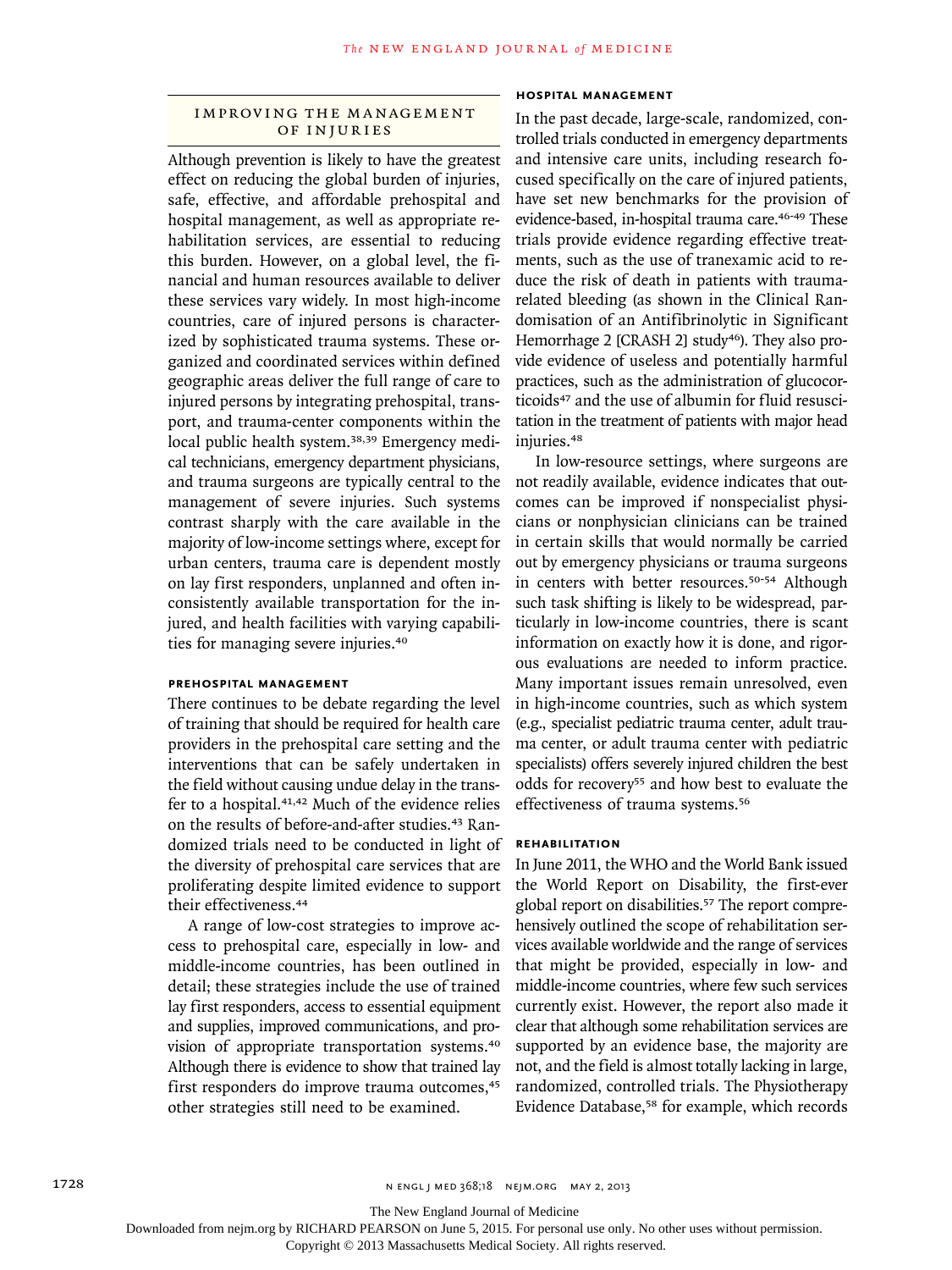## IMPROVING THE MANAGEMENT of Inj ur ies

Although prevention is likely to have the greatest effect on reducing the global burden of injuries, safe, effective, and affordable prehospital and hospital management, as well as appropriate rehabilitation services, are essential to reducing this burden. However, on a global level, the financial and human resources available to deliver these services vary widely. In most high-income countries, care of injured persons is characterized by sophisticated trauma systems. These organized and coordinated services within defined geographic areas deliver the full range of care to injured persons by integrating prehospital, transport, and trauma-center components within the local public health system.38,39 Emergency medical technicians, emergency department physicians, and trauma surgeons are typically central to the management of severe injuries. Such systems contrast sharply with the care available in the majority of low-income settings where, except for urban centers, trauma care is dependent mostly on lay first responders, unplanned and often inconsistently available transportation for the injured, and health facilities with varying capabilities for managing severe injuries.<sup>40</sup>

## **Prehospital Management**

There continues to be debate regarding the level of training that should be required for health care providers in the prehospital care setting and the interventions that can be safely undertaken in the field without causing undue delay in the transfer to a hospital. $41,42$  Much of the evidence relies on the results of before-and-after studies.43 Randomized trials need to be conducted in light of the diversity of prehospital care services that are proliferating despite limited evidence to support their effectiveness.<sup>44</sup>

A range of low-cost strategies to improve access to prehospital care, especially in low- and middle-income countries, has been outlined in detail; these strategies include the use of trained lay first responders, access to essential equipment and supplies, improved communications, and provision of appropriate transportation systems.<sup>40</sup> Although there is evidence to show that trained lay first responders do improve trauma outcomes,<sup>45</sup> other strategies still need to be examined.

## **Hospital Management**

In the past decade, large-scale, randomized, controlled trials conducted in emergency departments and intensive care units, including research focused specifically on the care of injured patients, have set new benchmarks for the provision of evidence-based, in-hospital trauma care.<sup>46-49</sup> These trials provide evidence regarding effective treatments, such as the use of tranexamic acid to reduce the risk of death in patients with traumarelated bleeding (as shown in the Clinical Randomisation of an Antifibrinolytic in Significant Hemorrhage 2 [CRASH 2] study<sup>46</sup>). They also provide evidence of useless and potentially harmful practices, such as the administration of glucocorticoids<sup>47</sup> and the use of albumin for fluid resuscitation in the treatment of patients with major head injuries.<sup>48</sup>

In low-resource settings, where surgeons are not readily available, evidence indicates that outcomes can be improved if nonspecialist physicians or nonphysician clinicians can be trained in certain skills that would normally be carried out by emergency physicians or trauma surgeons in centers with better resources.<sup>50-54</sup> Although such task shifting is likely to be widespread, particularly in low-income countries, there is scant information on exactly how it is done, and rigorous evaluations are needed to inform practice. Many important issues remain unresolved, even in high-income countries, such as which system (e.g., specialist pediatric trauma center, adult trauma center, or adult trauma center with pediatric specialists) offers severely injured children the best odds for recovery<sup>55</sup> and how best to evaluate the effectiveness of trauma systems.<sup>56</sup>

### **Rehabilitation**

In June 2011, the WHO and the World Bank issued the World Report on Disability, the first-ever global report on disabilities.57 The report comprehensively outlined the scope of rehabilitation services available worldwide and the range of services that might be provided, especially in low- and middle-income countries, where few such services currently exist. However, the report also made it clear that although some rehabilitation services are supported by an evidence base, the majority are not, and the field is almost totally lacking in large, randomized, controlled trials. The Physiotherapy Evidence Database,58 for example, which records

The New England Journal of Medicine

Downloaded from nejm.org by RICHARD PEARSON on June 5, 2015. For personal use only. No other uses without permission.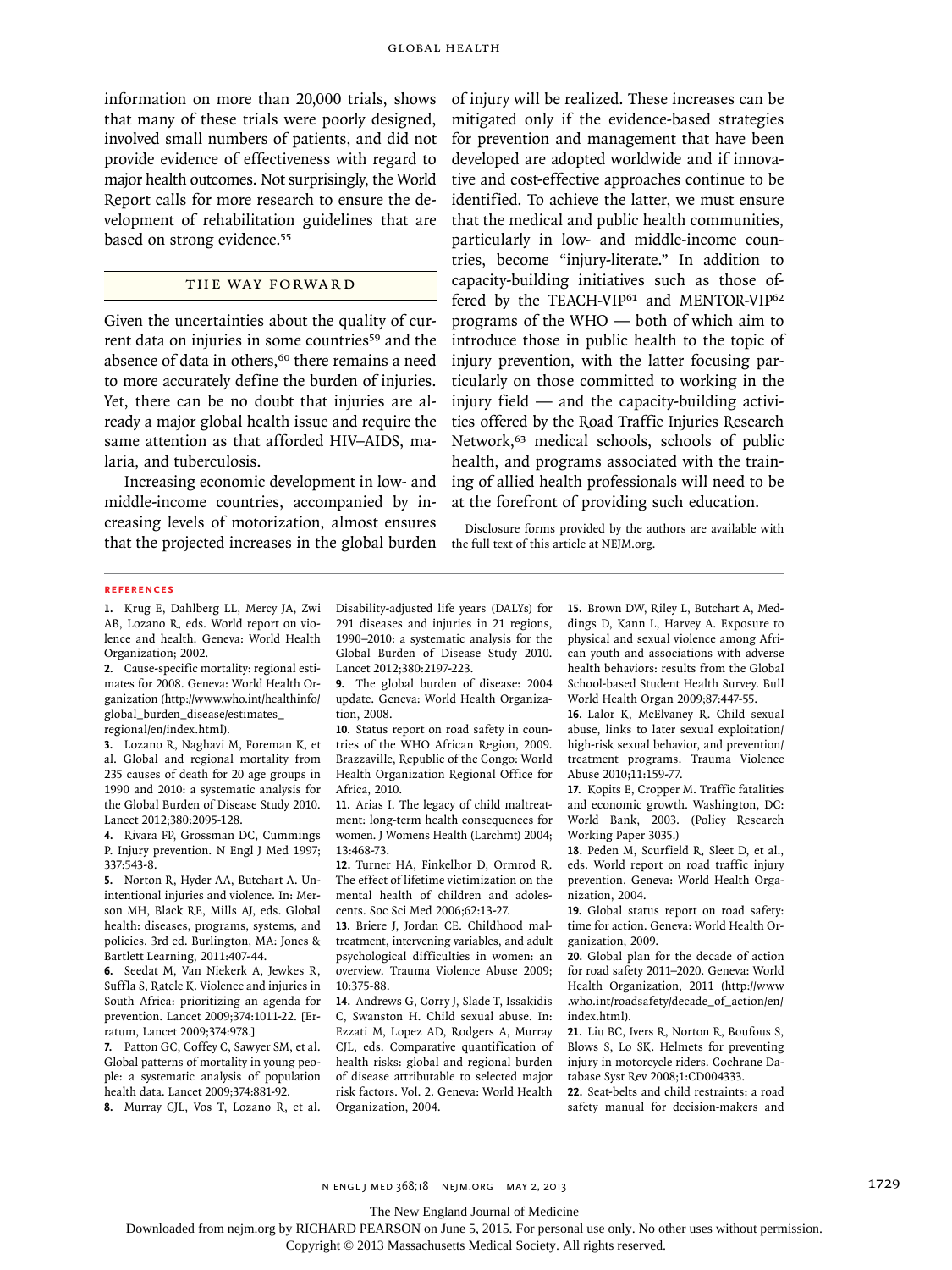information on more than 20,000 trials, shows that many of these trials were poorly designed, involved small numbers of patients, and did not provide evidence of effectiveness with regard to major health outcomes. Not surprisingly, the World Report calls for more research to ensure the development of rehabilitation guidelines that are based on strong evidence.<sup>55</sup>

#### THE WAY FORWARD

Given the uncertainties about the quality of current data on injuries in some countries<sup>59</sup> and the absence of data in others,<sup>60</sup> there remains a need to more accurately define the burden of injuries. Yet, there can be no doubt that injuries are already a major global health issue and require the same attention as that afforded HIV–AIDS, malaria, and tuberculosis.

Increasing economic development in low- and middle-income countries, accompanied by increasing levels of motorization, almost ensures that the projected increases in the global burden

of injury will be realized. These increases can be mitigated only if the evidence-based strategies for prevention and management that have been developed are adopted worldwide and if innovative and cost-effective approaches continue to be identified. To achieve the latter, we must ensure that the medical and public health communities, particularly in low- and middle-income countries, become "injury-literate." In addition to capacity-building initiatives such as those offered by the TEACH-VIP<sup>61</sup> and MENTOR-VIP<sup>62</sup> programs of the WHO — both of which aim to introduce those in public health to the topic of injury prevention, with the latter focusing particularly on those committed to working in the injury field — and the capacity-building activities offered by the Road Traffic Injuries Research Network,<sup>63</sup> medical schools, schools of public health, and programs associated with the training of allied health professionals will need to be at the forefront of providing such education.

Disclosure forms provided by the authors are available with the full text of this article at NEJM.org.

#### **References**

**1.** Krug E, Dahlberg LL, Mercy JA, Zwi AB, Lozano R, eds. World report on violence and health. Geneva: World Health Organization; 2002.

**2.** Cause-specific mortality: regional estimates for 2008. Geneva: World Health Organization (http://www.who.int/healthinfo/ global\_burden\_disease/estimates\_ regional/en/index.html).

**3.** Lozano R, Naghavi M, Foreman K, et al. Global and regional mortality from 235 causes of death for 20 age groups in 1990 and 2010: a systematic analysis for the Global Burden of Disease Study 2010. Lancet 2012;380:2095-128.

**4.** Rivara FP, Grossman DC, Cummings P. Injury prevention. N Engl J Med 1997; 337:543-8.

**5.** Norton R, Hyder AA, Butchart A. Unintentional injuries and violence. In: Merson MH, Black RE, Mills AJ, eds. Global health: diseases, programs, systems, and policies. 3rd ed. Burlington, MA: Jones & Bartlett Learning, 2011:407-44.

**6.** Seedat M, Van Niekerk A, Jewkes R, Suffla S, Ratele K. Violence and injuries in South Africa: prioritizing an agenda for prevention. Lancet 2009;374:1011-22. [Erratum, Lancet 2009;374:978.]

**7.** Patton GC, Coffey C, Sawyer SM, et al. Global patterns of mortality in young people: a systematic analysis of population health data. Lancet 2009;374:881-92.

**8.** Murray CJL, Vos T, Lozano R, et al. Organization, 2004.

Disability-adjusted life years (DALYs) for 291 diseases and injuries in 21 regions, 1990–2010: a systematic analysis for the Global Burden of Disease Study 2010. Lancet 2012;380:2197-223.

**9.** The global burden of disease: 2004 update. Geneva: World Health Organization, 2008.

**10.** Status report on road safety in countries of the WHO African Region, 2009. Brazzaville, Republic of the Congo: World Health Organization Regional Office for Africa, 2010.

**11.** Arias I. The legacy of child maltreatment: long-term health consequences for women. J Womens Health (Larchmt) 2004; 13:468-73.

**12.** Turner HA, Finkelhor D, Ormrod R. The effect of lifetime victimization on the mental health of children and adolescents. Soc Sci Med 2006;62:13-27.

**13.** Briere J, Jordan CE. Childhood maltreatment, intervening variables, and adult psychological difficulties in women: an overview. Trauma Violence Abuse 2009; 10:375-88.

**14.** Andrews G, Corry J, Slade T, Issakidis C, Swanston H. Child sexual abuse. In: Ezzati M, Lopez AD, Rodgers A, Murray CJL, eds. Comparative quantification of health risks: global and regional burden of disease attributable to selected major risk factors. Vol. 2. Geneva: World Health

**15.** Brown DW, Riley L, Butchart A, Meddings D, Kann L, Harvey A. Exposure to physical and sexual violence among African youth and associations with adverse health behaviors: results from the Global School-based Student Health Survey. Bull World Health Organ 2009;87:447-55.

**16.** Lalor K, McElvaney R. Child sexual abuse, links to later sexual exploitation/ high-risk sexual behavior, and prevention/ treatment programs. Trauma Violence Abuse 2010;11:159-77.

**17.** Kopits E, Cropper M. Traffic fatalities and economic growth. Washington, DC: World Bank, 2003. (Policy Research Working Paper 3035.)

**18.** Peden M, Scurfield R, Sleet D, et al., eds. World report on road traffic injury prevention. Geneva: World Health Organization, 2004.

**19.** Global status report on road safety: time for action. Geneva: World Health Organization, 2009.

**20.** Global plan for the decade of action for road safety 2011–2020. Geneva: World Health Organization, 2011 (http://www .who.int/roadsafety/decade\_of\_action/en/ index.html).

**21.** Liu BC, Ivers R, Norton R, Boufous S, Blows S, Lo SK. Helmets for preventing injury in motorcycle riders. Cochrane Database Syst Rev 2008;1:CD004333.

**22.** Seat-belts and child restraints: a road safety manual for decision-makers and

n engl j med 368;18 nejm.org may 2, 2013 1729

The New England Journal of Medicine

Downloaded from nejm.org by RICHARD PEARSON on June 5, 2015. For personal use only. No other uses without permission.